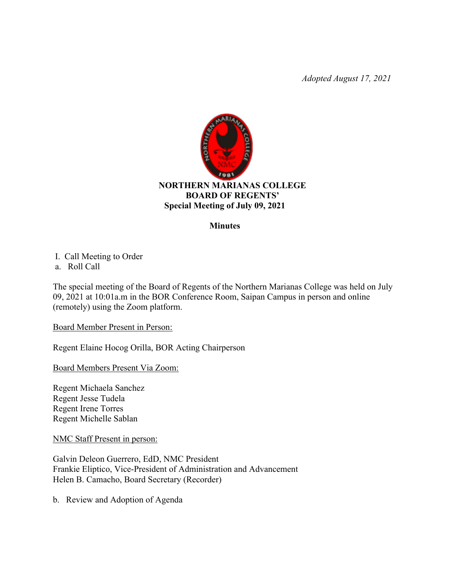*Adopted August 17, 2021*



## **Minutes**

I. Call Meeting to Order

a. Roll Call

The special meeting of the Board of Regents of the Northern Marianas College was held on July 09, 2021 at 10:01a.m in the BOR Conference Room, Saipan Campus in person and online (remotely) using the Zoom platform.

Board Member Present in Person:

Regent Elaine Hocog Orilla, BOR Acting Chairperson

Board Members Present Via Zoom:

Regent Michaela Sanchez Regent Jesse Tudela Regent Irene Torres Regent Michelle Sablan

NMC Staff Present in person:

Galvin Deleon Guerrero, EdD, NMC President Frankie Eliptico, Vice-President of Administration and Advancement Helen B. Camacho, Board Secretary (Recorder)

b. Review and Adoption of Agenda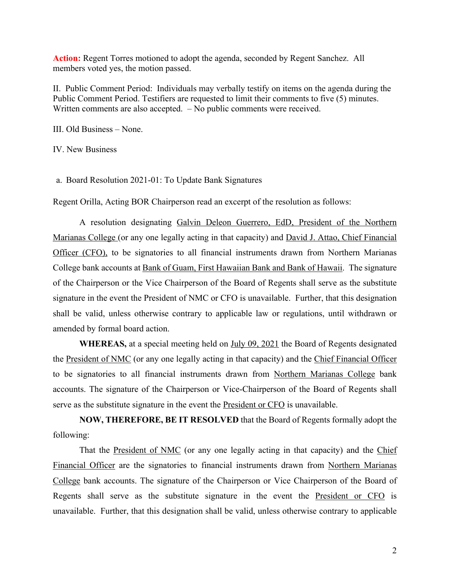**Action:** Regent Torres motioned to adopt the agenda, seconded by Regent Sanchez. All members voted yes, the motion passed.

II. Public Comment Period: Individuals may verbally testify on items on the agenda during the Public Comment Period. Testifiers are requested to limit their comments to five (5) minutes. Written comments are also accepted. – No public comments were received.

III. Old Business – None.

IV. New Business

a. Board Resolution 2021-01: To Update Bank Signatures

Regent Orilla, Acting BOR Chairperson read an excerpt of the resolution as follows:

A resolution designating Galvin Deleon Guerrero, EdD, President of the Northern Marianas College (or any one legally acting in that capacity) and David J. Attao, Chief Financial Officer (CFO), to be signatories to all financial instruments drawn from Northern Marianas College bank accounts at Bank of Guam, First Hawaiian Bank and Bank of Hawaii. The signature of the Chairperson or the Vice Chairperson of the Board of Regents shall serve as the substitute signature in the event the President of NMC or CFO is unavailable. Further, that this designation shall be valid, unless otherwise contrary to applicable law or regulations, until withdrawn or amended by formal board action.

**WHEREAS,** at a special meeting held on July 09, 2021 the Board of Regents designated the President of NMC (or any one legally acting in that capacity) and the Chief Financial Officer to be signatories to all financial instruments drawn from Northern Marianas College bank accounts. The signature of the Chairperson or Vice-Chairperson of the Board of Regents shall serve as the substitute signature in the event the **President or CFO** is unavailable.

**NOW, THEREFORE, BE IT RESOLVED** that the Board of Regents formally adopt the following:

That the President of NMC (or any one legally acting in that capacity) and the Chief Financial Officer are the signatories to financial instruments drawn from Northern Marianas College bank accounts. The signature of the Chairperson or Vice Chairperson of the Board of Regents shall serve as the substitute signature in the event the President or CFO is unavailable. Further, that this designation shall be valid, unless otherwise contrary to applicable